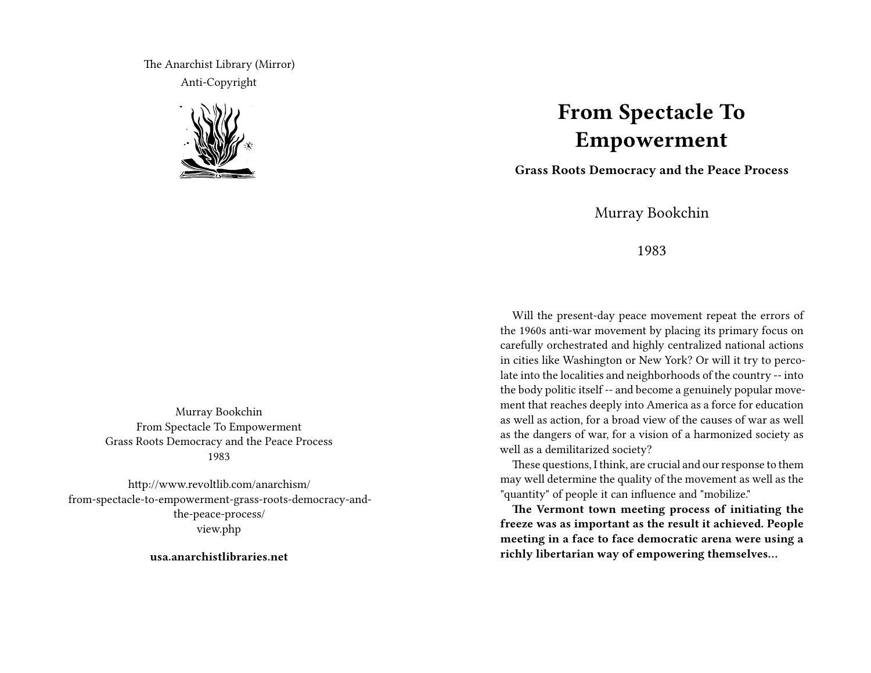The Anarchist Library (Mirror) Anti-Copyright



Murray Bookchin From Spectacle To Empowerment Grass Roots Democracy and the Peace Process 1983

http://www.revoltlib.com/anarchism/ from-spectacle-to-empowerment-grass-roots-democracy-andthe-peace-process/ view.php

**usa.anarchistlibraries.net**

## **From Spectacle To Empowerment**

**Grass Roots Democracy and the Peace Process**

Murray Bookchin

1983

Will the present-day peace movement repeat the errors of the 1960s anti-war movement by placing its primary focus on carefully orchestrated and highly centralized national actions in cities like Washington or New York? Or will it try to percolate into the localities and neighborhoods of the country -- into the body politic itself -- and become a genuinely popular movement that reaches deeply into America as a force for education as well as action, for a broad view of the causes of war as well as the dangers of war, for a vision of a harmonized society as well as a demilitarized society?

These questions, I think, are crucial and our response to them may well determine the quality of the movement as well as the "quantity" of people it can influence and "mobilize."

**The Vermont town meeting process of initiating the freeze was as important as the result it achieved. People meeting in a face to face democratic arena were using a richly libertarian way of empowering themselves…**